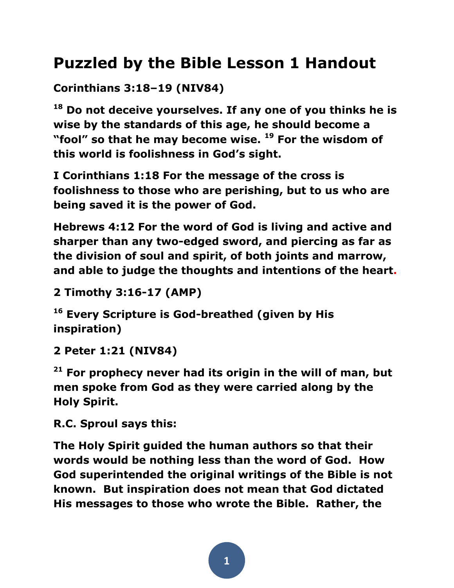# **Puzzled by the Bible Lesson 1 Handout**

**Corinthians 3:18–19 (NIV84)** 

**<sup>18</sup> Do not deceive yourselves. If any one of you thinks he is wise by the standards of this age, he should become a "fool" so that he may become wise. <sup>19</sup> For the wisdom of this world is foolishness in God's sight.** 

**I Corinthians 1:18 For the message of the cross is foolishness to those who are perishing, but to us who are being saved it is the power of God.**

**Hebrews 4[:12](http://biblehub.com/hebrews/4-12.htm) For the word of God is living and active and sharper than any two-edged sword, and piercing as far as the division of soul and spirit, of both joints and marrow, and able to judge the thoughts and intentions of the heart.**

**2 Timothy 3:16-17 (AMP)** 

**<sup>16</sup> Every Scripture is God-breathed (given by His inspiration)**

**2 Peter 1:21 (NIV84)** 

**<sup>21</sup> For prophecy never had its origin in the will of man, but men spoke from God as they were carried along by the Holy Spirit.** 

**R.C. Sproul says this:**

**The Holy Spirit guided the human authors so that their words would be nothing less than the word of God. How God superintended the original writings of the Bible is not known. But inspiration does not mean that God dictated His messages to those who wrote the Bible. Rather, the**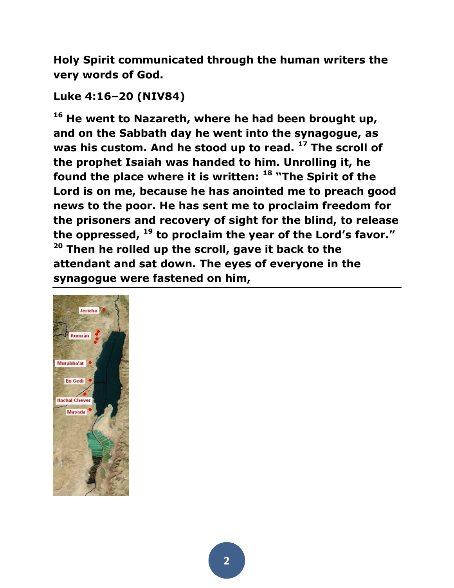**Holy Spirit communicated through the human writers the very words of God.**

## **Luke 4:16–20 (NIV84)**

**<sup>16</sup> He went to Nazareth, where he had been brought up, and on the Sabbath day he went into the synagogue, as was his custom. And he stood up to read. <sup>17</sup> The scroll of the prophet Isaiah was handed to him. Unrolling it, he found the place where it is written: <sup>18</sup> "The Spirit of the Lord is on me, because he has anointed me to preach good news to the poor. He has sent me to proclaim freedom for the prisoners and recovery of sight for the blind, to release the oppressed, <sup>19</sup> to proclaim the year of the Lord's favor." <sup>20</sup> Then he rolled up the scroll, gave it back to the attendant and sat down. The eyes of everyone in the synagogue were fastened on him,**

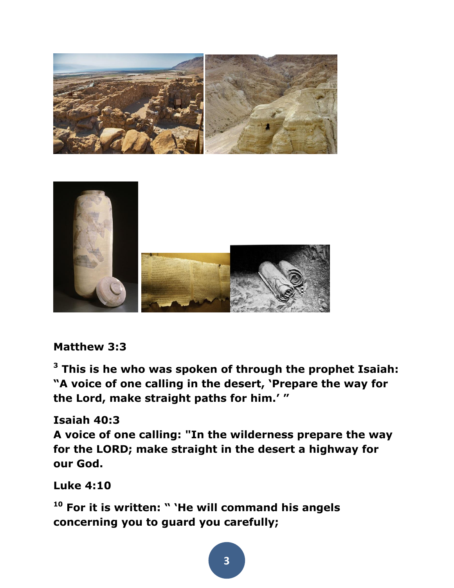



**Matthew 3:3** 

**<sup>3</sup> This is he who was spoken of through the prophet Isaiah: "A voice of one calling in the desert, 'Prepare the way for the Lord, make straight paths for him.' "** 

#### **[Isaiah 40:3](http://biblehub.com/isaiah/40-3.htm)**

**A voice of one calling: "In the wilderness prepare the way for the LORD; make straight in the desert a highway for our God.**

**Luke 4:10** 

**<sup>10</sup> For it is written: " 'He will command his angels concerning you to guard you carefully;**